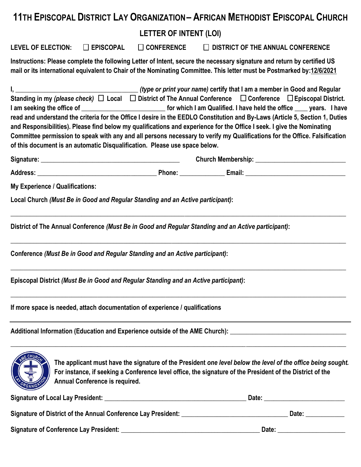## **11TH EPISCOPAL DISTRICT LAY ORGANIZATION– AFRICAN METHODIST EPISCOPAL CHURCH LETTER OF INTENT (LOI) LEVEL OF ELECTION: EPISCOPAL CONFERENCE DISTRICT OF THE ANNUAL CONFERENCE Instructions: Please complete the following Letter of Intent, secure the necessary signature and return by certified US mail or its international equivalent to Chair of the Nominating Committee. This letter must be Postmarked by:12/6/2021 I, \_\_\_\_\_\_\_\_\_\_\_\_\_\_\_\_\_\_\_\_\_\_\_\_\_\_\_\_\_\_\_\_\_\_\_\_\_\_** *(type or print your name)* **certify that I am a member in Good and Regular** Standing in my *(please check)* □ Local □ District of The Annual Conference □ Conference □ Episcopal District. **I am seeking the office of ighter a set of the set of the office ighter a seeking the office**  $\blacksquare$  vears. I have **held the office**  $\blacksquare$  vears. I have **read and understand the criteria for the Office I desire in the EEDLO Constitution and By-Laws (Article 5, Section 1, Duties and Responsibilities). Please find below my qualifications and experience for the Office I seek. I give the Nominating Committee permission to speak with any and all persons necessary to verify my Qualifications for the Office. Falsification of this document is an automatic Disqualification. Please use space below. Signature: \_\_\_\_\_\_\_\_\_\_\_\_\_\_\_\_\_\_\_\_\_\_\_\_\_\_\_\_\_\_\_\_\_\_\_\_\_\_\_\_\_\_\_ Church Membership: \_\_\_\_\_\_\_\_\_\_\_\_\_\_\_\_\_\_\_\_\_\_\_\_\_\_\_\_ Address: \_\_\_\_\_\_\_\_\_\_\_\_\_\_\_\_\_\_\_\_\_\_\_\_\_\_\_\_\_\_\_\_\_\_\_\_\_ Phone: \_\_\_\_\_\_\_\_\_\_\_\_\_\_ Email: \_\_\_\_\_\_\_\_\_\_\_\_\_\_\_\_\_\_\_\_\_\_\_\_\_\_\_\_\_\_\_ My Experience / Qualifications: Local Church** *(Must Be in Good and Regular Standing and an Active participant)***: \_\_\_\_\_\_\_\_\_\_\_\_\_\_\_\_\_\_\_\_\_\_\_\_\_\_\_\_\_\_\_\_\_\_\_\_\_\_\_\_\_\_\_\_\_\_\_\_\_\_\_\_\_\_\_\_\_\_\_\_\_\_\_\_\_\_\_\_\_\_\_\_\_\_\_\_\_\_\_\_\_\_\_\_\_\_\_\_\_\_\_\_\_\_\_\_\_\_\_\_\_\_\_\_ District of The Annual Conference** *(Must Be in Good and Regular Standing and an Active participant)***: \_\_\_\_\_\_\_\_\_\_\_\_\_\_\_\_\_\_\_\_\_\_\_\_\_\_\_\_\_\_\_\_\_\_\_\_\_\_\_\_\_\_\_\_\_\_\_\_\_\_\_\_\_\_\_\_\_\_\_\_\_\_\_\_\_\_\_\_\_\_\_\_\_\_\_\_\_\_\_\_\_\_\_\_\_\_\_\_\_\_\_\_\_\_\_\_\_\_\_\_\_\_\_\_ Conference** *(Must Be in Good and Regular Standing and an Active participant)***: \_\_\_\_\_\_\_\_\_\_\_\_\_\_\_\_\_\_\_\_\_\_\_\_\_\_\_\_\_\_\_\_\_\_\_\_\_\_\_\_\_\_\_\_\_\_\_\_\_\_\_\_\_\_\_\_\_\_\_\_\_\_\_\_\_\_\_\_\_\_\_\_\_\_\_\_\_\_\_\_\_\_\_\_\_\_\_\_\_\_\_\_\_\_\_\_\_\_\_\_\_\_\_\_ Episcopal District** *(Must Be in Good and Regular Standing and an Active participant)***: \_\_\_\_\_\_\_\_\_\_\_\_\_\_\_\_\_\_\_\_\_\_\_\_\_\_\_\_\_\_\_\_\_\_\_\_\_\_\_\_\_\_\_\_\_\_\_\_\_\_\_\_\_\_\_\_\_\_\_\_\_\_\_\_\_\_\_\_\_\_\_\_\_\_\_\_\_\_\_\_\_\_\_\_\_\_\_\_\_\_\_\_\_\_\_\_\_\_\_\_\_\_\_\_ If more space is needed, attach documentation of experience / qualifications Additional Information (Education and Experience outside of the AME Church): \_\_\_\_\_\_\_\_\_\_\_\_\_\_\_\_\_\_\_\_\_\_\_\_\_\_\_\_\_\_\_\_\_\_\_\_ \_\_\_\_\_\_\_\_\_\_\_\_\_\_\_\_\_\_\_\_\_\_\_\_\_\_\_\_\_\_\_\_\_\_\_\_\_\_\_\_\_\_\_\_\_\_\_\_\_\_\_\_\_\_\_\_\_\_\_\_\_\_\_\_\_\_\_\_\_\_\_\_\_\_\_\_\_\_\_\_\_\_\_\_\_\_\_\_\_\_\_\_\_\_\_\_\_\_\_\_\_\_\_\_ The applicant must have the signature of the President** *one level below the level of the office being sought.* **For instance, if seeking a Conference level office, the signature of the President of the District of the Annual Conference is required. Signature of Local Lay President: \_\_\_\_\_\_\_\_\_\_\_\_\_\_\_\_\_\_\_\_\_\_\_\_\_\_\_\_\_\_\_\_\_\_\_\_\_\_\_\_\_\_\_\_ Date: \_\_\_\_\_\_\_\_\_\_\_\_\_\_\_\_\_\_\_\_\_\_\_\_\_ Signature of District of the Annual Conference Lay President: \_\_\_\_\_\_\_\_\_\_\_\_\_\_\_\_\_\_\_\_\_\_\_\_\_\_\_\_\_\_\_\_\_ Date: \_\_\_\_\_\_\_\_\_\_\_\_ Signature of Conference Lay President: \_\_\_\_\_\_\_\_\_\_\_\_\_\_\_\_\_\_\_\_\_\_\_\_\_\_\_\_\_\_\_\_\_\_\_\_\_\_\_\_\_\_\_ Date: \_\_\_\_\_\_\_\_\_\_\_\_\_\_\_\_\_\_\_\_\_**